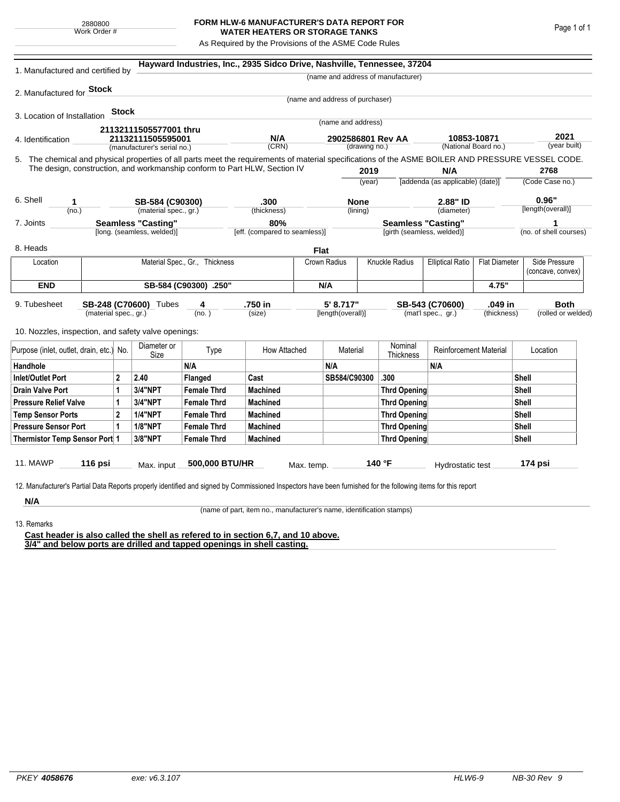## **FORM HLW-6 MANUFACTURER'S DATA REPORT FOR WATER HEATERS OR STORAGE TANKS**

As Required by the Provisions of the ASME Code Rules

| 1. Manufactured and certified by                                                                                                                              |                       |              |                                                         |                                | Hayward Industries, Inc., 2935 Sidco Drive, Nashville, Tennessee, 37204   |                                      |                                 |                                    |                                                         |                                         |                                     |                        |                      |  |
|---------------------------------------------------------------------------------------------------------------------------------------------------------------|-----------------------|--------------|---------------------------------------------------------|--------------------------------|---------------------------------------------------------------------------|--------------------------------------|---------------------------------|------------------------------------|---------------------------------------------------------|-----------------------------------------|-------------------------------------|------------------------|----------------------|--|
|                                                                                                                                                               |                       |              |                                                         |                                |                                                                           |                                      |                                 |                                    | (name and address of manufacturer)                      |                                         |                                     |                        |                      |  |
| 2. Manufactured for <b>Stock</b>                                                                                                                              |                       |              |                                                         |                                |                                                                           |                                      |                                 |                                    |                                                         |                                         |                                     |                        |                      |  |
|                                                                                                                                                               |                       |              |                                                         |                                |                                                                           |                                      | (name and address of purchaser) |                                    |                                                         |                                         |                                     |                        |                      |  |
| 3. Location of Installation                                                                                                                                   |                       | <b>Stock</b> |                                                         |                                |                                                                           |                                      |                                 |                                    |                                                         |                                         |                                     |                        |                      |  |
|                                                                                                                                                               |                       |              | 21132111505577001 thru                                  |                                |                                                                           |                                      | (name and address)              |                                    |                                                         |                                         |                                     |                        |                      |  |
| 4. Identification                                                                                                                                             |                       |              |                                                         | 21132111505595001              |                                                                           | N/A                                  |                                 | 2902586801 Rev AA<br>(drawing no.) |                                                         |                                         | 10853-10871<br>(National Board no.) |                        | 2021<br>(year built) |  |
|                                                                                                                                                               |                       |              | (manufacturer's serial no.)                             |                                | (CRN)                                                                     |                                      |                                 |                                    |                                                         |                                         |                                     |                        |                      |  |
| 5. The chemical and physical properties of all parts meet the requirements of material specifications of the ASME BOILER AND PRESSURE VESSEL CODE.            |                       |              |                                                         |                                | The design, construction, and workmanship conform to Part HLW, Section IV |                                      |                                 |                                    |                                                         |                                         |                                     |                        | 2768                 |  |
|                                                                                                                                                               |                       |              |                                                         |                                |                                                                           |                                      | 2019<br>(year)                  |                                    |                                                         | N/A<br>[addenda (as applicable) (date)] |                                     | (Code Case no.)        |                      |  |
|                                                                                                                                                               |                       |              |                                                         |                                |                                                                           |                                      |                                 |                                    |                                                         |                                         |                                     |                        |                      |  |
| 6. Shell<br>1                                                                                                                                                 |                       |              | SB-584 (C90300)                                         |                                | .300                                                                      |                                      | <b>None</b>                     |                                    | 2.88" ID                                                |                                         |                                     | 0.96"                  |                      |  |
| (no.)                                                                                                                                                         |                       |              | (material spec., gr.)                                   |                                | (thickness)                                                               |                                      |                                 | (lining)                           |                                                         | (diameter)                              |                                     |                        | [length(overall)]    |  |
| 7. Joints                                                                                                                                                     |                       |              | <b>Seamless "Casting"</b><br>[long. (seamless, welded)] |                                |                                                                           | 80%<br>[eff. (compared to seamless)] |                                 |                                    | <b>Seamless "Casting"</b><br>[girth (seamless, welded)] |                                         |                                     | (no. of shell courses) |                      |  |
|                                                                                                                                                               |                       |              |                                                         |                                |                                                                           |                                      |                                 |                                    |                                                         |                                         |                                     |                        |                      |  |
| 8. Heads                                                                                                                                                      |                       |              |                                                         |                                |                                                                           | <b>Flat</b>                          |                                 |                                    |                                                         |                                         |                                     |                        |                      |  |
| Location                                                                                                                                                      |                       |              |                                                         | Material Spec., Gr., Thickness |                                                                           |                                      | Crown Radius                    |                                    | Knuckle Radius<br><b>Elliptical Ratio</b>               |                                         | <b>Flat Diameter</b>                |                        | Side Pressure        |  |
|                                                                                                                                                               |                       |              |                                                         |                                |                                                                           |                                      |                                 |                                    |                                                         |                                         |                                     |                        | (concave, convex)    |  |
| <b>END</b>                                                                                                                                                    | SB-584 (C90300) .250" |              |                                                         |                                |                                                                           |                                      | N/A                             |                                    |                                                         |                                         | 4.75"                               |                        |                      |  |
| 9. Tubesheet<br>SB-248 (C70600) Tubes                                                                                                                         |                       |              | .750 in<br>4                                            |                                |                                                                           | 5' 8.717"                            |                                 |                                    |                                                         | .049 in<br>SB-543 (C70600)              |                                     |                        | <b>Both</b>          |  |
| (material spec., gr.)                                                                                                                                         |                       |              |                                                         | (no. )                         | (size)                                                                    |                                      | [length(overall)]               |                                    | (mat'l spec., gr.)<br>(thickness)                       |                                         |                                     | (rolled or welded)     |                      |  |
| 10. Nozzles, inspection, and safety valve openings:                                                                                                           |                       |              |                                                         |                                |                                                                           |                                      |                                 |                                    |                                                         |                                         |                                     |                        |                      |  |
|                                                                                                                                                               |                       |              |                                                         |                                |                                                                           |                                      |                                 |                                    |                                                         |                                         |                                     |                        |                      |  |
| Purpose (inlet, outlet, drain, etc.) No.                                                                                                                      |                       |              | Diameter or<br>Size                                     | Type                           | How Attached                                                              |                                      | Material                        |                                    | Nominal<br>Thickness                                    | <b>Reinforcement Material</b>           |                                     |                        | Location             |  |
| Handhole                                                                                                                                                      |                       |              |                                                         | N/A                            |                                                                           |                                      | N/A                             |                                    |                                                         | N/A                                     |                                     |                        |                      |  |
| <b>Inlet/Outlet Port</b><br>2                                                                                                                                 |                       | 2.40         | Flanged                                                 | Cast                           |                                                                           | SB584/C90300                         |                                 | .300                               |                                                         |                                         | Shell                               |                        |                      |  |
| <b>Drain Valve Port</b><br>1                                                                                                                                  |                       | 3/4"NPT      | <b>Female Thrd</b>                                      | <b>Machined</b>                |                                                                           |                                      |                                 | <b>Thrd Opening</b>                |                                                         | Shell                                   |                                     |                        |                      |  |
| <b>Pressure Relief Valve</b><br>1                                                                                                                             |                       |              | 3/4"NPT                                                 | <b>Female Thrd</b>             | <b>Machined</b>                                                           |                                      |                                 |                                    | <b>Thrd Opening</b>                                     |                                         |                                     | Shell                  |                      |  |
| $\overline{2}$<br><b>Temp Sensor Ports</b>                                                                                                                    |                       |              | <b>1/4"NPT</b>                                          | <b>Female Thrd</b>             | <b>Machined</b>                                                           |                                      |                                 | <b>Thrd Opening</b>                |                                                         |                                         |                                     | Shell                  |                      |  |
| <b>Pressure Sensor Port</b><br>1                                                                                                                              |                       |              | <b>1/8"NPT</b>                                          | <b>Female Thrd</b>             | <b>Machined</b>                                                           |                                      |                                 |                                    | Thrd Opening                                            |                                         | Shell                               |                        |                      |  |
| Thermistor Temp Sensor Port 1                                                                                                                                 |                       |              | 3/8"NPT                                                 | <b>Female Thrd</b>             | <b>Machined</b>                                                           |                                      |                                 | Thrd Opening                       |                                                         |                                         |                                     |                        | Shell                |  |
|                                                                                                                                                               |                       |              |                                                         |                                |                                                                           |                                      |                                 |                                    |                                                         |                                         |                                     |                        |                      |  |
| 11. MAWP                                                                                                                                                      | 116 psi               |              | Max. input                                              | 500,000 BTU/HR                 |                                                                           | Max. temp.                           |                                 |                                    | 140 °F                                                  | Hydrostatic test                        |                                     |                        | 174 psi              |  |
|                                                                                                                                                               |                       |              |                                                         |                                |                                                                           |                                      |                                 |                                    |                                                         |                                         |                                     |                        |                      |  |
| 12. Manufacturer's Partial Data Reports properly identified and signed by Commissioned Inspectors have been furnished for the following items for this report |                       |              |                                                         |                                |                                                                           |                                      |                                 |                                    |                                                         |                                         |                                     |                        |                      |  |
| N/A                                                                                                                                                           |                       |              |                                                         |                                |                                                                           |                                      |                                 |                                    |                                                         |                                         |                                     |                        |                      |  |

(name of part, item no., manufacturer's name, identification stamps)

13. Remarks

**Cast header is also called the shell as refered to in section 6,7, and 10 above. 3/4" and below ports are drilled and tapped openings in shell casting.**